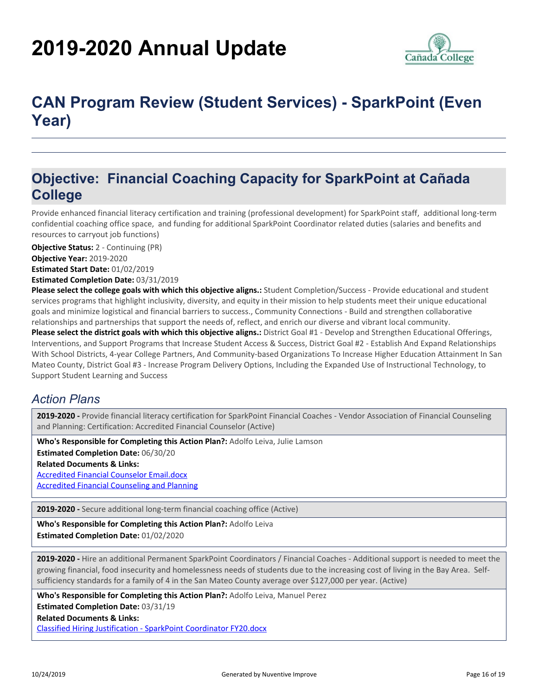# **2019-2020 Annual Update**



## **CAN Program Review (Student Services) - SparkPoint (Even Year)**

### **Objective: Financial Coaching Capacity for SparkPoint at Cañada College**

Provide enhanced financial literacy certification and training (professional development) for SparkPoint staff, additional long-term confidential coaching office space, and funding for additional SparkPoint Coordinator related duties (salaries and benefits and resources to carryout job functions)

**Objective Status:** 2 - Continuing (PR)

**Objective Year:** 2019-2020

**Estimated Start Date:** 01/02/2019

**Estimated Completion Date:** 03/31/2019

**Please select the college goals with which this objective aligns.:** Student Completion/Success - Provide educational and student services programs that highlight inclusivity, diversity, and equity in their mission to help students meet their unique educational goals and minimize logistical and financial barriers to success., Community Connections - Build and strengthen collaborative relationships and partnerships that support the needs of, reflect, and enrich our diverse and vibrant local community.

**Please select the district goals with which this objective aligns.:** District Goal #1 - Develop and Strengthen Educational Offerings, Interventions, and Support Programs that Increase Student Access & Success, District Goal #2 - Establish And Expand Relationships With School Districts, 4-year College Partners, And Community-based Organizations To Increase Higher Education Attainment In San Mateo County, District Goal #3 - Increase Program Delivery Options, Including the Expanded Use of Instructional Technology, to Support Student Learning and Success

#### *Action Plans*

**2019-2020 -** Provide financial literacy certification for SparkPoint Financial Coaches - Vendor Association of Financial Counseling and Planning: Certification: Accredited Financial Counselor (Active)

**Related Documents & Links:** [Accredited Financial Counselor Email.docx](https://sanmateo.tracdat.com:443/tracdat/viewDocument?y=eOJadZbTJS9w) [Accredited Financial Counseling and Planning](https://sanmateo.tracdat.com:443/tracdat/viewDocument?y=YlRawhiZYdas) **Who's Responsible for Completing this Action Plan?:** Adolfo Leiva, Julie Lamson **Estimated Completion Date:** 06/30/20

**2019-2020 -** Secure additional long-term financial coaching office (Active)

**Who's Responsible for Completing this Action Plan?:** Adolfo Leiva

**Estimated Completion Date:** 01/02/2020

**2019-2020 -** Hire an additional Permanent SparkPoint Coordinators / Financial Coaches - Additional support is needed to meet the growing financial, food insecurity and homelessness needs of students due to the increasing cost of living in the Bay Area. Selfsufficiency standards for a family of 4 in the San Mateo County average over \$127,000 per year. (Active)

**Who's Responsible for Completing this Action Plan?:** Adolfo Leiva, Manuel Perez

**Estimated Completion Date:** 03/31/19

**Related Documents & Links:**

[Classified Hiring Justification - SparkPoint Coordinator FY20.docx](https://sanmateo.tracdat.com:443/tracdat/viewDocument?y=l1gsY77vl2Tz)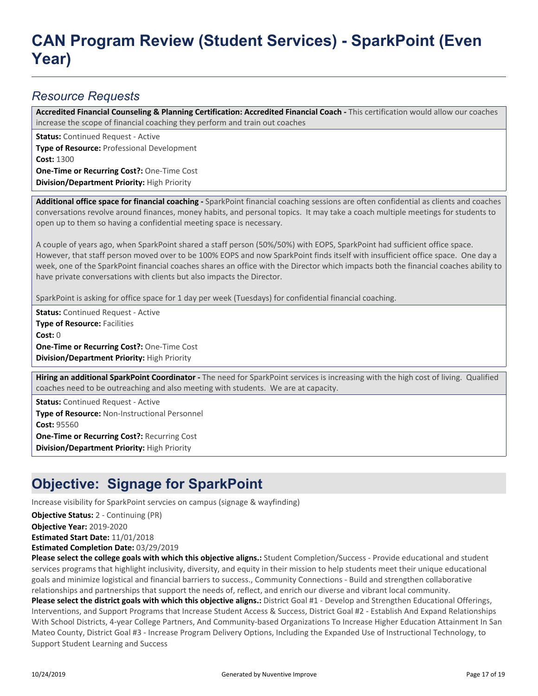## **CAN Program Review (Student Services) - SparkPoint (Even Year)**

#### *Resource Requests*

Accredited Financial Counseling & Planning Certification: Accredited Financial Coach - This certification would allow our coaches increase the scope of financial coaching they perform and train out coaches

**Status:** Continued Request - Active

**Type of Resource:** Professional Development **Cost:** 1300 **One-Time or Recurring Cost?:** One-Time Cost

**Division/Department Priority:** High Priority

**Additional office space for financial coaching -** SparkPoint financial coaching sessions are often confidential as clients and coaches conversations revolve around finances, money habits, and personal topics. It may take a coach multiple meetings for students to open up to them so having a confidential meeting space is necessary.

A couple of years ago, when SparkPoint shared a staff person (50%/50%) with EOPS, SparkPoint had sufficient office space. However, that staff person moved over to be 100% EOPS and now SparkPoint finds itself with insufficient office space. One day a week, one of the SparkPoint financial coaches shares an office with the Director which impacts both the financial coaches ability to have private conversations with clients but also impacts the Director.

SparkPoint is asking for office space for 1 day per week (Tuesdays) for confidential financial coaching.

**Status:** Continued Request - Active **Type of Resource:** Facilities **Cost:** 0 **One-Time or Recurring Cost?:** One-Time Cost **Division/Department Priority:** High Priority

**Hiring an additional SparkPoint Coordinator -** The need for SparkPoint services is increasing with the high cost of living. Qualified coaches need to be outreaching and also meeting with students. We are at capacity.

**Status:** Continued Request - Active **Type of Resource:** Non-Instructional Personnel **Cost:** 95560 **One-Time or Recurring Cost?:** Recurring Cost **Division/Department Priority:** High Priority

### **Objective: Signage for SparkPoint**

Increase visibility for SparkPoint servcies on campus (signage & wayfinding)

**Objective Status:** 2 - Continuing (PR)

**Objective Year:** 2019-2020

**Estimated Start Date:** 11/01/2018

**Estimated Completion Date:** 03/29/2019

**Please select the college goals with which this objective aligns.:** Student Completion/Success - Provide educational and student services programs that highlight inclusivity, diversity, and equity in their mission to help students meet their unique educational goals and minimize logistical and financial barriers to success., Community Connections - Build and strengthen collaborative relationships and partnerships that support the needs of, reflect, and enrich our diverse and vibrant local community.

**Please select the district goals with which this objective aligns.:** District Goal #1 - Develop and Strengthen Educational Offerings, Interventions, and Support Programs that Increase Student Access & Success, District Goal #2 - Establish And Expand Relationships With School Districts, 4-year College Partners, And Community-based Organizations To Increase Higher Education Attainment In San Mateo County, District Goal #3 - Increase Program Delivery Options, Including the Expanded Use of Instructional Technology, to Support Student Learning and Success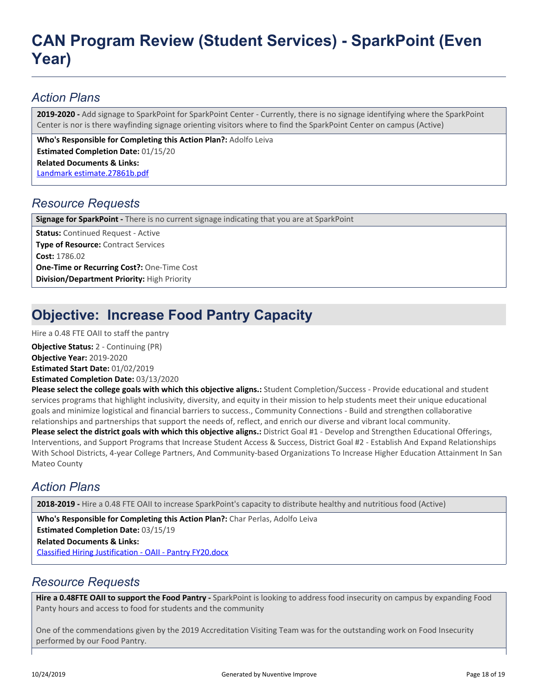## **CAN Program Review (Student Services) - SparkPoint (Even Year)**

#### *Action Plans*

**2019-2020 -** Add signage to SparkPoint for SparkPoint Center - Currently, there is no signage identifying where the SparkPoint Center is nor is there wayfinding signage orienting visitors where to find the SparkPoint Center on campus (Active)

**Related Documents & Links:** [Landmark estimate.27861b.pdf](https://sanmateo.tracdat.com:443/tracdat/viewDocument?y=UM5g4ygvFHcF) **Who's Responsible for Completing this Action Plan?:** Adolfo Leiva **Estimated Completion Date:** 01/15/20

#### *Resource Requests*

**Signage for SparkPoint -** There is no current signage indicating that you are at SparkPoint

**Status:** Continued Request - Active **Type of Resource:** Contract Services **Cost:** 1786.02 **One-Time or Recurring Cost?:** One-Time Cost **Division/Department Priority:** High Priority

## **Objective: Increase Food Pantry Capacity**

Hire a 0.48 FTE OAII to staff the pantry

**Objective Year:** 2019-2020 **Estimated Start Date:** 01/02/2019 **Estimated Completion Date:** 03/13/2020 **Objective Status:** 2 - Continuing (PR)

**Please select the college goals with which this objective aligns.:** Student Completion/Success - Provide educational and student services programs that highlight inclusivity, diversity, and equity in their mission to help students meet their unique educational goals and minimize logistical and financial barriers to success., Community Connections - Build and strengthen collaborative relationships and partnerships that support the needs of, reflect, and enrich our diverse and vibrant local community. **Please select the district goals with which this objective aligns.:** District Goal #1 - Develop and Strengthen Educational Offerings, Interventions, and Support Programs that Increase Student Access & Success, District Goal #2 - Establish And Expand Relationships With School Districts, 4-year College Partners, And Community-based Organizations To Increase Higher Education Attainment In San Mateo County

#### *Action Plans*

**2018-2019 -** Hire a 0.48 FTE OAII to increase SparkPoint's capacity to distribute healthy and nutritious food (Active)

**Related Documents & Links:** [Classified Hiring Justification - OAII - Pantry FY20.docx](https://sanmateo.tracdat.com:443/tracdat/viewDocument?y=ElKAAxjisZOS) **Who's Responsible for Completing this Action Plan?:** Char Perlas, Adolfo Leiva **Estimated Completion Date:** 03/15/19

#### *Resource Requests*

**Hire a 0.48FTE OAII to support the Food Pantry -** SparkPoint is looking to address food insecurity on campus by expanding Food Panty hours and access to food for students and the community

One of the commendations given by the 2019 Accreditation Visiting Team was for the outstanding work on Food Insecurity performed by our Food Pantry.